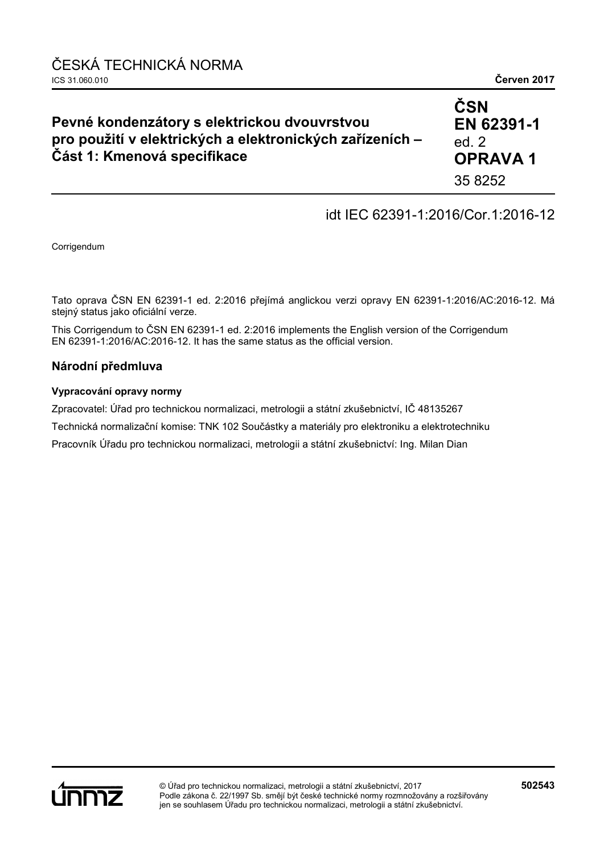| Pevné kondenzátory s elektrickou dvouvrstvou<br>pro použití v elektrických a elektronických zařízeních -<br>Část 1: Kmenová specifikace | ČSN<br>EN 62391-1<br>ed. $2$<br><b>OPRAVA1</b><br>35 8252 |
|-----------------------------------------------------------------------------------------------------------------------------------------|-----------------------------------------------------------|
|                                                                                                                                         |                                                           |

# idt IEC 62391-1:2016/Cor.1:2016-12

Corrigendum

Tato oprava ČSN EN 62391-1 ed. 2:2016 přejímá anglickou verzi opravy EN 62391-1:2016/AC:2016-12. Má stejný status jako oficiální verze.

This Corrigendum to ČSN EN 62391-1 ed. 2:2016 implements the English version of the Corrigendum EN 62391-1:2016/AC:2016-12. It has the same status as the official version.

# **Národní předmluva**

## **Vypracování opravy normy**

Zpracovatel: Úřad pro technickou normalizaci, metrologii a státní zkušebnictví, IČ 48135267

Technická normalizační komise: TNK 102 Součástky a materiály pro elektroniku a elektrotechniku

Pracovník Úřadu pro technickou normalizaci, metrologii a státní zkušebnictví: Ing. Milan Dian

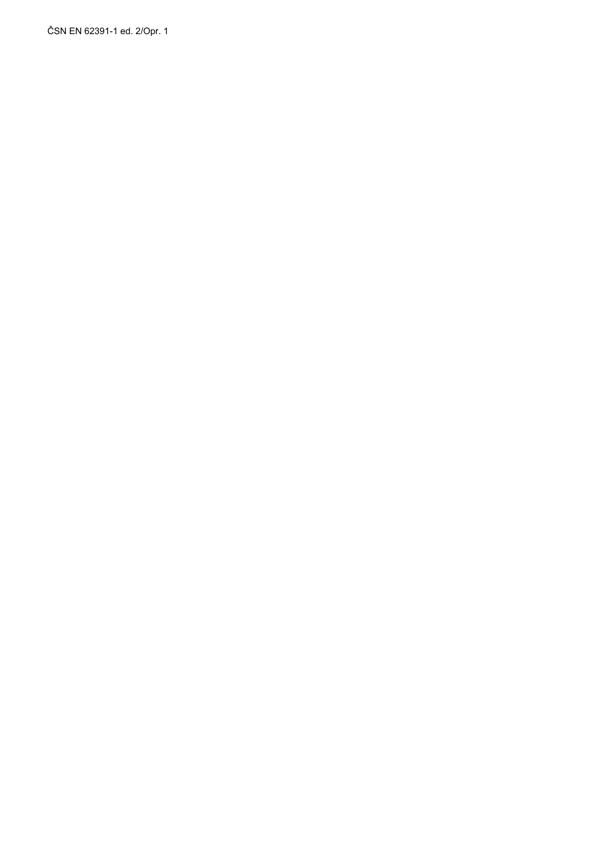ČSN EN 62391-1 ed. 2/Opr. 1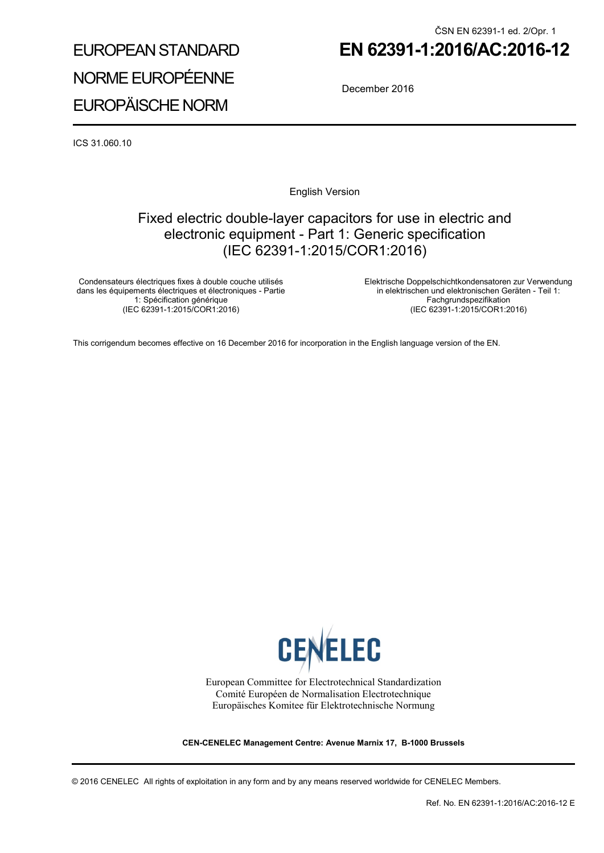# EUROPEAN STANDARD NORME EUROPÉENNE EUROPÄISCHE NORM



December 2016

ICS 31.060.10

English Version

# Fixed electric double-layer capacitors for use in electric and electronic equipment - Part 1: Generic specification (IEC 62391-1:2015/COR1:2016)

Condensateurs électriques fixes à double couche utilisés dans les équipements électriques et électroniques - Partie 1: Spécification générique (IEC 62391-1:2015/COR1:2016)

 Elektrische Doppelschichtkondensatoren zur Verwendung in elektrischen und elektronischen Geräten - Teil 1: Fachgrundspezifikation (IEC 62391-1:2015/COR1:2016)

This corrigendum becomes effective on 16 December 2016 for incorporation in the English language version of the EN.



European Committee for Electrotechnical Standardization Comité Européen de Normalisation Electrotechnique Europäisches Komitee für Elektrotechnische Normung

**CEN-CENELEC Management Centre: Avenue Marnix 17, B-1000 Brussels** 

© 2016 CENELEC All rights of exploitation in any form and by any means reserved worldwide for CENELEC Members.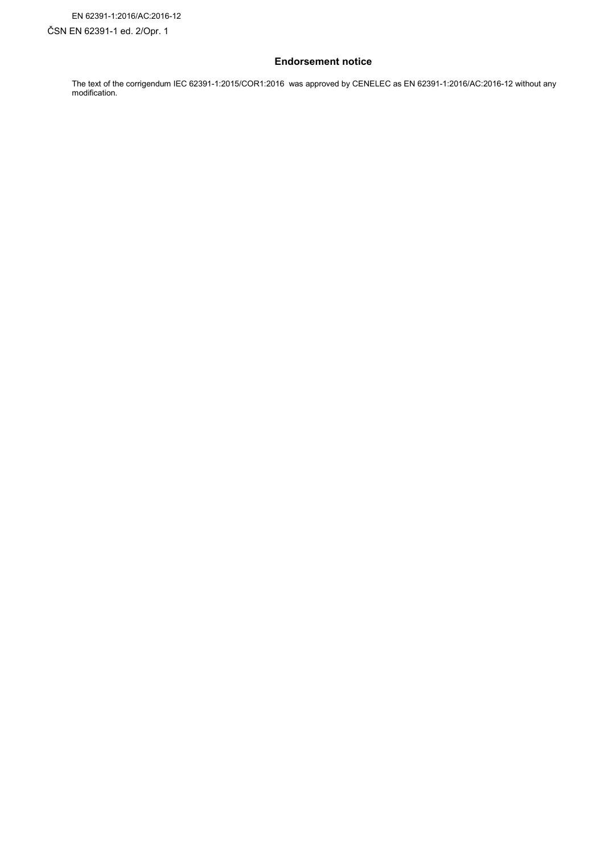EN 62391-1:2016/AC:2016-12

ČSN EN 62391-1 ed. 2/Opr. 1

## **Endorsement notice**

The text of the corrigendum IEC 62391-1:2015/COR1:2016 was approved by CENELEC as EN 62391-1:2016/AC:2016-12 without any modification.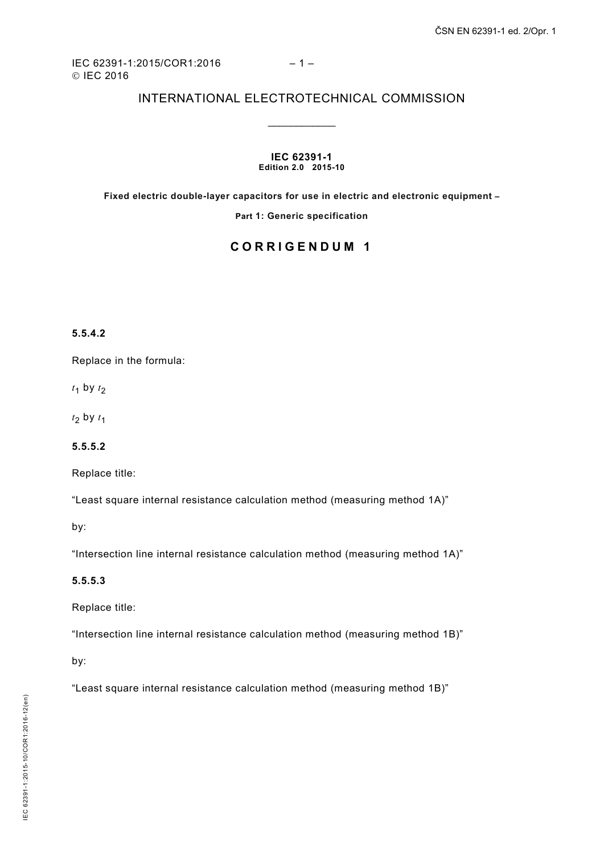IEC 62391-1:2015/COR1:2016 – 1 – © IEC 2016

# INTERNATIONAL ELECTROTECHNICAL COMMISSION

\_\_\_\_\_\_\_\_\_\_\_\_

#### **IEC 62391-1 Edition 2.0 2015-10**

**Fixed electric double-layer capacitors for use in electric and electronic equipment –** 

**Part 1: Generic specification**

# **CORRIGENDUM 1**

## **5.5.4.2**

Replace in the formula:

 $t_1$  by  $t_2$ 

 $t_2$  by  $t_1$ 

## **5.5.5.2**

Replace title:

"Least square internal resistance calculation method (measuring method 1A)"

by:

"Intersection line internal resistance calculation method (measuring method 1A)"

# **5.5.5.3**

Replace title:

"Intersection line internal resistance calculation method (measuring method 1B)"

by:

"Least square internal resistance calculation method (measuring method 1B)"